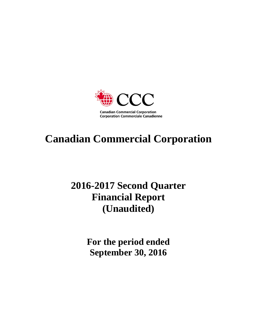

# **Canadian Commercial Corporation**

# **2016-2017 Second Quarter Financial Report (Unaudited)**

**For the period ended September 30, 2016**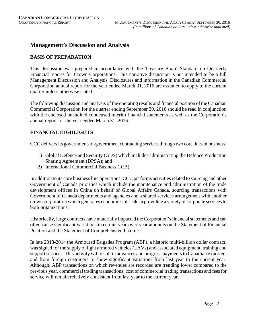# **Management's Discussion and Analysis**

## **BASIS OF PREPARATION**

This discussion was prepared in accordance with the Treasury Board Standard on Quarterly Financial reports for Crown Corporations. This narrative discussion is not intended to be a full Management Discussion and Analysis. Disclosures and information in the Canadian Commercial Corporation annual report for the year ended March 31, 2016 are assumed to apply to the current quarter unless otherwise stated.

The following discussion and analysis of the operating results and financial position of the Canadian Commercial Corporation for the quarter ending September 30, 2016 should be read in conjunction with the enclosed unaudited condensed interim financial statements as well as the Corporation's annual report for the year ended March 31, 2016.

# **FINANCIAL HIGHLIGHTS**

CCC delivers its government-to-government contracting services through two core lines of business:

- 1) Global Defence and Security (GDS) which includes administrating the Defence Production Sharing Agreement (DPSA); and
- 2) International Commercial Business (ICB)

In addition to its core business line operations, CCC performs activities related to sourcing and other Government of Canada priorities which include the maintenance and administration of the trade development offices in China on behalf of Global Affairs Canada, sourcing transactions with Government of Canada departments and agencies and a shared services arrangement with another crown corporation which generates economies of scale in providing a variety of corporate services to both organizations.

Historically, large contracts have materially impacted the Corporation's financial statements and can often cause significant variations in certain year-over-year amounts on the Statement of Financial Position and the Statement of Comprehensive Income.

In late 2013-2014 the Armoured Brigades Program (ABP), a historic multi-billion dollar contract, was signed for the supply of light armored vehicles (LAVs) and associated equipment, training and support services. This activity will result in advances and progress payments to Canadian exporters and from foreign customers to show significant variations from last year to the current year. Although, ABP transactions on which revenues are recorded are trending lower compared to the previous year, commercial trading transactions, cost of commercial trading transactions and fees for service will remain relatively consistent from last year to the current year.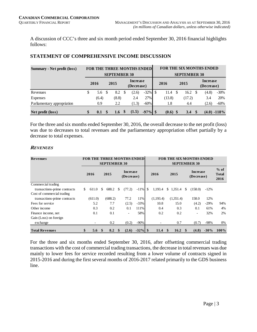A discussion of CCC's three and six month period ended September 30, 2016 financial highlights follows:

| <b>Summary - Net profit (loss)</b> |              |              |                     |   | <b>FOR THE THREE MONTHS ENDED</b> |            |            |    |                     |    | <b>FOR THE SIX MONTHS ENDED</b> |               |
|------------------------------------|--------------|--------------|---------------------|---|-----------------------------------|------------|------------|----|---------------------|----|---------------------------------|---------------|
|                                    |              |              | <b>SEPTEMBER 30</b> |   |                                   |            |            |    | <b>SEPTEMBER 30</b> |    |                                 |               |
|                                    | 2016<br>2015 |              |                     |   | <b>Increase</b><br>(Decrease)     |            | 2016       |    | 2015                |    | <b>Increase</b><br>(Decrease)   |               |
| Revenues                           | \$<br>5.6    | S            | 8.2                 | S | (2.6)                             | $-32\%$ \$ | 11.4       | -S | 16.2                | -S | (4.8)                           | $-30\%$       |
| Expenses                           | (6.4)        |              | (8.8)               |   | 2.4                               | 27%        | (13.8)     |    | (17.2)              |    | 3.4                             | 20%           |
| Parliamentary appropriation        | 0.9          |              | 2.2                 |   | (1.3)                             | $-60%$     | 1.8        |    | 4.4                 |    | (2.6)                           | $-60%$        |
| Net profit (loss)                  | \$<br>0.1    | $\mathbf{s}$ | 1.6 $\sqrt$$        |   | (1.5)                             | $-97\%$ \$ | $(0.6)$ \$ |    | 3.4                 |    |                                 | $(4.0) -118%$ |

# **STATEMENT OF COMPREHENSIVE INCOME DISCUSSION**

For the three and six months ended September 30, 2016, the overall decrease to the net profit (loss) was due to decreases to total revenues and the parliamentary appropriation offset partially by a decrease to total expenses.

# **REVENUES**

| <b>Revenues</b>              |             |               | <b>SEPTEMBER 30</b> |          | <b>FOR THE THREE MONTHS ENDED</b> |            |           | <b>SEPTEMBER 30</b> |          | <b>FOR THE SIX MONTHS ENDED</b> |        |                                |
|------------------------------|-------------|---------------|---------------------|----------|-----------------------------------|------------|-----------|---------------------|----------|---------------------------------|--------|--------------------------------|
|                              | 2016        |               | 2015                |          | <b>Increase</b><br>(Decrease)     |            | 2016      | 2015                |          | <b>Increase</b><br>(Decrease)   |        | $%$ of<br><b>Total</b><br>2016 |
| Commercial trading           |             |               |                     |          |                                   |            |           |                     |          |                                 |        |                                |
| transactions-prime contracts | \$<br>611.0 | S             | 688.2               | \$.      | (77.2)                            | $-11\%$ \$ | 1.193.4   | \$<br>1,351.4       | S        | (158.0)                         | $-12%$ |                                |
| Cost of commercial trading   |             |               |                     |          |                                   |            |           |                     |          |                                 |        |                                |
| transactions-prime contracts | (611.0)     |               | (688.2)             |          | 77.2                              | 11%        | (1,193.4) | (1,351.4)           |          | 158.0                           | 12%    |                                |
| Fees for service             | 5.2         |               | 7.7                 |          | (2.5)                             | $-33%$     | 10.8      | 15.0                |          | (4.2)                           | $-29%$ | 94%                            |
| Other income                 | 0.3         |               | 0.2                 |          | 0.1                               | 111%       | 0.4       | 0.3                 |          | 0.1                             | 61%    | 4%                             |
| Finance income, net          | 0.1         |               | 0.1                 |          | ٠                                 | 58%        | 0.2       | 0.2                 |          | ٠                               | 32%    | 2%                             |
| Gain (Loss) on foreign       |             |               |                     |          |                                   |            |           |                     |          |                                 |        |                                |
| exchange                     |             |               | 0.2                 |          | (0.2)                             | $-90%$     |           | 0.7                 |          | (0.7)                           | $-98%$ | 0%                             |
| <b>Total Revenues</b>        | \$<br>5.6   | <sup>\$</sup> | 8.2                 | <b>S</b> | (2.6)                             | $-32\%$ \$ | 11.4      | \$<br>16.2          | <b>S</b> | (4.8)                           | $-30%$ | $100\%$                        |

For the three and six months ended September 30, 2016, after offsetting commercial trading transactions with the cost of commercial trading transactions, the decrease in total revenues was due mainly to lower fees for service recorded resulting from a lower volume of contracts signed in 2015-2016 and during the first several months of 2016-2017 related primarily to the GDS business line.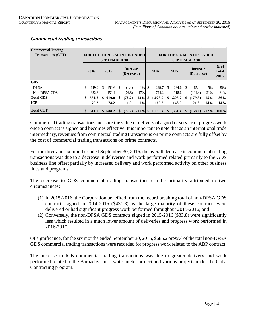| <b>Commercial Trading</b><br>Transactions (CTT) |     |       |          | <b>SEPTEMBER 30</b> | <b>FOR THE THREE MONTHS ENDEDI</b> |           |                    |     |           |     | <b>FOR THE SIX MONTHS ENDED</b><br><b>SEPTEMBER 30</b> |         |                                |
|-------------------------------------------------|-----|-------|----------|---------------------|------------------------------------|-----------|--------------------|-----|-----------|-----|--------------------------------------------------------|---------|--------------------------------|
|                                                 |     | 2016  |          | 2015                | Increase<br>(Decrease)             |           | 2016               |     | 2015      |     | Increase<br>(Decrease)                                 |         | $%$ of<br><b>Total</b><br>2016 |
| GDS:                                            |     |       |          |                     |                                    |           |                    |     |           |     |                                                        |         |                                |
| <b>DPSA</b>                                     |     | 149.2 | <b>S</b> | $150.6$ \$          | (1.4)                              | $-1\%$ \$ | 299.7              | \$. | 284.6 \$  |     | 15.1                                                   | 5%      | 25%                            |
| Non-DPSA GDS                                    |     | 382.6 |          | 459.4               | (76.8)                             | $-17%$    | 724.2              |     | 918.6     |     | (194.4)                                                | $-21%$  | 61%                            |
| <b>Total GDS</b>                                | SS. | 531.8 | \$       | 610.0               | \$<br>(78.2)                       | $-13%$    | \$<br>1,023.9      |     | \$1,203.2 | \$  | (179.3)                                                | $-15%$  | 86%                            |
| <b>ICB</b>                                      |     | 79.2  |          | 78.2                | 1.0                                | $1\%$     | 169.5              |     | 148.2     |     | 21.3                                                   | 14%     | 14%                            |
| <b>Total CTT</b>                                |     | 611.0 | \$.      | 688.2               | (77.2)                             |           | $-11\%$ \$ 1,193.4 |     | \$1,351.4 | \$. | (158.0)                                                | $-12\%$ | $100\%$                        |

## **Commercial trading transactions**

Commercial trading transactions measure the value of delivery of a good or service or progress work once a contract is signed and becomes effective. It is important to note that as an international trade intermediary, revenues from commercial trading transactions on prime contracts are fully offset by the cost of commercial trading transactions on prime contracts.

For the three and six months ended September 30, 2016, the overall decrease in commercial trading transactions was due to a decrease in deliveries and work performed related primarily to the GDS business line offset partially by increased delivery and work performed activity on other business lines and programs.

The decrease to GDS commercial trading transactions can be primarily attributed to two circumstances:

- (1) In 2015-2016, the Corporation benefited from the record breaking total of non-DPSA GDS contracts signed in 2014-2015 (\$431.8) as the large majority of these contracts were delivered or had significant progress work performed throughout 2015-2016; and
- (2) Conversely, the non-DPSA GDS contracts signed in 2015-2016 (\$33.8) were significantly less which resulted in a much lower amount of deliveries and progress work performed in 2016-2017.

Of significance, for the six months ended September 30, 2016, \$685.2 or 95% of the total non-DPSA GDS commercial trading transactions were recorded for progress work related to the ABP contract.

The increase to ICB commercial trading transactions was due to greater delivery and work performed related to the Barbados smart water meter project and various projects under the Cuba Contracting program.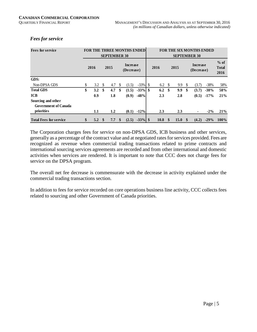## *Fees for service*

| <b>Fees for service</b>                           |           |              | <b>SEPTEMBER 30</b> |          | <b>FOR THE THREE MONTHS ENDED</b> |            |      |          |      |               | <b>FOR THE SIX MONTHS ENDED</b><br><b>SEPTEMBER 30</b> |        |                                |
|---------------------------------------------------|-----------|--------------|---------------------|----------|-----------------------------------|------------|------|----------|------|---------------|--------------------------------------------------------|--------|--------------------------------|
|                                                   | 2016      |              | 2015                |          | <b>Increase</b><br>(Decrease)     |            | 2016 |          | 2015 |               | <b>Increase</b><br>(Decrease)                          |        | $%$ of<br><b>Total</b><br>2016 |
| GDS:                                              |           |              |                     |          |                                   |            |      |          |      |               |                                                        |        |                                |
| Non-DPSA GDS                                      | \$<br>3.2 | -S           | 4.7                 | <b>S</b> | (1.5)                             | $-33\%$ \$ | 6.2  | \$.      | 9.9  | <b>S</b>      | (3.7)                                                  | $-38%$ | 58%                            |
| <b>Total GDS</b>                                  | \$<br>3.2 | \$.          | 4.7                 | -\$      | (1.5)                             | $-33\%$ \$ | 6.2  | \$       | 9.9  | <sup>\$</sup> | (3.7)                                                  | $-38%$ | 58%                            |
| <b>ICB</b>                                        | 0.9       |              | 1.8                 |          | (0.9)                             | $-48%$     | 2.3  |          | 2.8  |               | (0.5)                                                  | $-17%$ | 21%                            |
| Sourcing and other<br><b>Government of Canada</b> |           |              |                     |          |                                   |            |      |          |      |               |                                                        |        |                                |
| priorities                                        | 1.1       |              | 1.2                 |          | (0.1)                             | $-12%$     | 2.3  |          | 2.3  |               | ٠                                                      | $-2\%$ | 21%                            |
| <b>Total Fees for service</b>                     | \$<br>5.2 | $\mathbf{s}$ | 7.7                 | - \$     | (2.5)                             | $-33\%$ \$ | 10.8 | <b>S</b> | 15.0 |               | (4.2)                                                  | $-29%$ | $100\%$                        |

The Corporation charges fees for service on non-DPSA GDS, ICB business and other services, generally as a percentage of the contract value and at negotiated rates for services provided. Fees are recognized as revenue when commercial trading transactions related to prime contracts and international sourcing services agreements are recorded and from other international and domestic activities when services are rendered. It is important to note that CCC does not charge fees for service on the DPSA program.

The overall net fee decrease is commensurate with the decrease in activity explained under the commercial trading transactions section.

In addition to fees for service recorded on core operations business line activity, CCC collects fees related to sourcing and other Government of Canada priorities.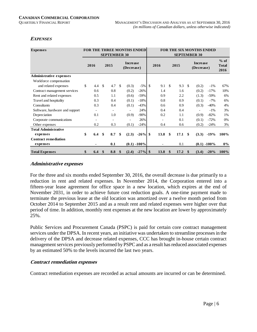# **EXPENSES**

| <b>Expenses</b>                |           |                          |              | <b>FOR THE THREE MONTHS ENDED</b> |                 |     |      |               |      |               | <b>FOR THE SIX MONTHS ENDED</b> |                 |                                |
|--------------------------------|-----------|--------------------------|--------------|-----------------------------------|-----------------|-----|------|---------------|------|---------------|---------------------------------|-----------------|--------------------------------|
|                                |           | <b>SEPTEMBER 30</b>      |              |                                   |                 |     |      |               |      |               | <b>SEPTEMBER 30</b>             |                 |                                |
|                                | 2016      | 2015                     |              | <b>Increase</b><br>(Decrease)     |                 |     | 2016 |               | 2015 |               | <b>Increase</b><br>(Decrease)   |                 | $%$ of<br><b>Total</b><br>2016 |
| <b>Administrative expenses</b> |           |                          |              |                                   |                 |     |      |               |      |               |                                 |                 |                                |
| Workforce compensation         |           |                          |              |                                   |                 |     |      |               |      |               |                                 |                 |                                |
| and related expenses           | \$<br>4.4 | \$<br>4.7                | -\$          | (0.3)                             | $-5%$           | -\$ | 9.1  | \$            | 9.3  | $\mathcal{S}$ | (0.2)                           | $-1\%$          | 67%                            |
| Contract management services   | 0.6       | 0.8                      |              | (0.2)                             | $-26%$          |     | 1.4  |               | 1.6  |               | (0.2)                           | $-17%$          | 10%                            |
| Rent and related expenses      | 0.5       | 1.1                      |              | (0.6)                             | $-59%$          |     | 0.9  |               | 2.2  |               | (1.3)                           | $-59%$          | 6%                             |
| Travel and hospitality         | 0.3       | 0.4                      |              | (0.1)                             | $-18%$          |     | 0.8  |               | 0.9  |               | (0.1)                           | $-7%$           | 6%                             |
| Consultants                    | 0.3       | 0.4                      |              | (0.1)                             | $-43%$          |     | 0.6  |               | 0.9  |               | (0.3)                           | $-40%$          | 4%                             |
| Software, hardware and support |           | $\overline{\phantom{a}}$ |              | $\overline{\phantom{a}}$          | 24%             |     | 0.4  |               | 0.4  |               | ۰                               | $-1\%$          | 3%                             |
| Depreciation                   | 0.1       | 1.0                      |              | (0.9)                             | $-90\%$         |     | 0.2  |               | 1.1  |               | (0.9)                           | $-82%$          | 1%                             |
| Corporate communications       |           | $\blacksquare$           |              | ۰                                 | 26%             |     |      |               | 0.1  |               | (0.1)                           | $-72%$          | 0%                             |
| Other expenses                 | 0.2       | 0.3                      |              | (0.1)                             | $-24%$          |     | 0.4  |               | 0.6  |               | (0.2)                           | $-24%$          | 3%                             |
| <b>Total Administrative</b>    |           |                          |              |                                   |                 |     |      |               |      |               |                                 |                 |                                |
| expenses                       | \$<br>6.4 | \$<br>8.7                | \$           | (2.3)                             | $-26\%$ \$      |     | 13.8 | \$            | 17.1 | \$            | (3.3)                           | $-19%$          | 100%                           |
| <b>Contract remediation</b>    |           |                          |              |                                   |                 |     |      |               |      |               |                                 |                 |                                |
| expenses                       |           | 0.1                      |              |                                   | $(0.1) - 100\%$ |     |      |               | 0.1  |               |                                 | $(0.1) - 100\%$ | $0\%$                          |
| <b>Total Expenses</b>          | \$<br>6.4 | \$<br>8.8                | $\mathbf{s}$ | (2.4)                             | $-27\%$ \$      |     | 13.8 | <sup>\$</sup> | 17.2 | $\mathbf{\$}$ | (3.4)                           | $-20%$          | 100%                           |

#### **Administrative expenses**

For the three and six months ended September 30, 2016, the overall decrease is due primarily to a reduction in rent and related expenses. In November 2014, the Corporation entered into a fifteen-year lease agreement for office space in a new location, which expires at the end of November 2031, in order to achieve future cost reduction goals. A one-time payment made to terminate the previous lease at the old location was amortized over a twelve month period from October 2014 to September 2015 and as a result rent and related expenses were higher over that period of time. In addition, monthly rent expenses at the new location are lower by approximately 25%.

Public Services and Procurement Canada (PSPC) is paid for certain core contract management services under the DPSA. In recent years, an initiative was undertaken to streamline processes in the delivery of the DPSA and decrease related expenses, CCC has brought in-house certain contract management services previously performed by PSPC and as a result has reduced associated expenses by an estimated 50% to the levels incurred the last two years.

#### **Contract remediation expenses**

Contract remediation expenses are recorded as actual amounts are incurred or can be determined.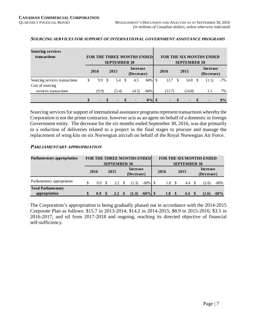| <b>Sourcing services</b><br>transactions |                                     |     |                   |  | <b>FOR THE THREE MONTHS ENDEDI</b> |          |        |               |                             |          | <b>FOR THE SIX MONTHS ENDED</b> |       |
|------------------------------------------|-------------------------------------|-----|-------------------|--|------------------------------------|----------|--------|---------------|-----------------------------|----------|---------------------------------|-------|
|                                          | <b>SEPTEMBER 30</b><br>2016<br>2015 |     |                   |  | Increase<br>(Decrease)             |          | 2016   |               | <b>SEPTEMBER 30</b><br>2015 |          | <b>Increase</b><br>(Decrease)   |       |
| Sourcing services transactions           | \$<br>9.9                           | \$. | $5.4 \text{ } $s$ |  | 4.5                                | 84% \$   | 13.7   | <sup>\$</sup> | 14.8                        | <b>S</b> | (1.1)                           | $-7%$ |
| Cost of sourcing                         |                                     |     |                   |  |                                    |          |        |               |                             |          |                                 |       |
| services transactions                    | (9.9)                               |     | (5.4)             |  | (4.5)                              | $-84%$   | (13.7) |               | (14.8)                      |          | 1.1                             | 7%    |
|                                          |                                     |     |                   |  |                                    | $0\%$ \$ |        |               |                             |          |                                 | $0\%$ |

#### **SOURCING SERVICES FOR SUPPORT OF INTERNATIONAL GOVERNMENT ASSISTANCE PROGRAMS**

Sourcing services for support of international assistance programs represent transactions whereby the Corporation is not the prime contractor, however acts as an agent on behalf of a domestic or foreign Government entity. The decrease for the six months ended September 30, 2016, was due primarily to a reduction of deliveries related to a project in the final stages to procure and manage the replacement of wing kits on six Norwegian aircraft on behalf of the Royal Norwegian Air Force.

#### **PARLIAMENTARY APPROPRIATION**

| Parliamentary appropriation                 |           | <b>SEPTEMBER 30</b> | FOR THE THREE MONTHS ENDED |         |      | <b>SEPTEMBER 30</b> | <b>FOR THE SIX MONTHS ENDED</b> |        |
|---------------------------------------------|-----------|---------------------|----------------------------|---------|------|---------------------|---------------------------------|--------|
|                                             | 2016      | 2015                | Increase<br>(Decrease)     |         | 2016 | 2015                | Increase<br>(Decrease)          |        |
| Parliamentary appropriation                 | \$<br>0.9 | 2.2                 | (1.3)                      | $-60\%$ | 1.8  | 4.4                 | (2.6)                           | -60%   |
| <b>Total Parliamentary</b><br>appropriation | \$<br>0.9 | $2.2^{\circ}$       | (1.3)                      |         | 1.8  | 4.4                 | (2.6)                           | $-60%$ |

The Corporation's appropriation is being gradually phased out in accordance with the 2014-2015 Corporate Plan as follows: \$15.7 in 2013-2014; \$14.2 in 2014-2015; \$8.9 in 2015-2016; \$3.5 in 2016-2017; and nil from 2017-2018 and ongoing, reaching its directed objective of financial self-sufficiency.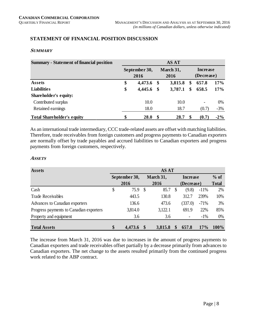# **STATEMENT OF FINANCIAL POSITION DISCUSSION**

#### **SUMMARY**

| <b>Summary - Statement of financial position</b> |                       |      | <b>AS AT</b>      |                        |        |
|--------------------------------------------------|-----------------------|------|-------------------|------------------------|--------|
|                                                  | September 30,<br>2016 |      | March 31,<br>2016 | Increase<br>(Decrease) |        |
| Assets                                           | \$<br>4,473.6         | -\$  | 3,815.8           | \$<br>657.8            | 17%    |
| <b>Liabilities</b>                               | \$<br>4,445.6         | - \$ | 3,787.1           | \$<br>658.5            | 17%    |
| Shareholder's equity:                            |                       |      |                   |                        |        |
| Contributed surplus                              | 10.0                  |      | 10.0              | -                      | 0%     |
| Retained earnings                                | 18.0                  |      | 18.7              | (0.7)                  | $-3%$  |
| <b>Total Shareholder's equity</b>                | \$<br>28.0            | S    | 28.7              | (0.7)                  | $-2\%$ |

As an international trade intermediary, CCC trade-related assets are offset with matching liabilities. Therefore, trade receivables from foreign customers and progress payments to Canadian exporters are normally offset by trade payables and accrued liabilities to Canadian exporters and progress payments from foreign customers, respectively.

#### **ASSETS**

| <b>Assets</b>                           |               | <b>AS AT</b>  |           |   |                 |        |              |
|-----------------------------------------|---------------|---------------|-----------|---|-----------------|--------|--------------|
|                                         | September 30, |               | March 31, |   | <b>Increase</b> |        | $%$ of       |
|                                         | 2016          |               | 2016      |   | (Decrease)      |        | <b>Total</b> |
| Cash                                    | \$<br>75.9    | $\mathcal{S}$ | 85.7      | S | (9.8)           | $-11%$ | 2%           |
| <b>Trade Receivables</b>                | 443.5         |               | 130.8     |   | 312.7           | 239%   | 10%          |
| Advances to Canadian exporters          | 136.6         |               | 473.6     |   | (337.0)         | $-71%$ | 3%           |
| Progress payments to Canadian exporters | 3,814.0       |               | 3,122.1   |   | 691.9           | 22%    | 85%          |
| Property and equipment                  | 3.6           |               | 3.6       |   |                 | $-1\%$ | 0%           |
| <b>Total Assets</b>                     | \$<br>4,473.6 |               | 3,815.8   |   | 657.8           | 17%    | 100%         |

The increase from March 31, 2016 was due to increases in the amount of progress payments to Canadian exporters and trade receivables offset partially by a decrease primarily from advances to Canadian exporters. The net change to the assets resulted primarily from the continued progress work related to the ABP contract.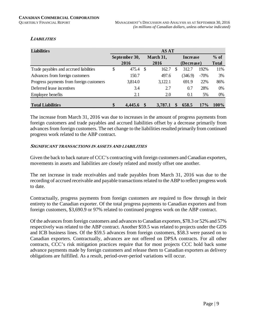# **LIABILITIES**

| <b>Liabilities</b>                       |               | <b>AS AT</b> |           |     |            |        |              |
|------------------------------------------|---------------|--------------|-----------|-----|------------|--------|--------------|
|                                          | September 30, |              | March 31, |     | Increase   |        | $%$ of       |
|                                          | 2016          |              | 2016      |     | (Decrease) |        | <b>Total</b> |
| Trade payables and accrued liabilities   | \$<br>475.4   | - \$         | 162.7     | \$. | 312.7      | 192%   | 11%          |
| Advances from foreign customers          | 150.7         |              | 497.6     |     | (346.9)    | $-70%$ | 3%           |
| Progress payments from foreign customers | 3,814.0       |              | 3,122.1   |     | 691.9      | 22%    | 86%          |
| Deferred lease incentives                | 3.4           |              | 2.7       |     | 0.7        | 28%    | 0%           |
| Employee benefits                        | 2.1           |              | 2.0       |     | 0.1        | 5%     | 0%           |
| <b>Total Liabilities</b>                 | \$<br>4.445.6 |              | 3,787.1   |     | 658.5      | 17%    | 100%         |
|                                          |               |              |           |     |            |        |              |

The increase from March 31, 2016 was due to increases in the amount of progress payments from foreign customers and trade payables and accrued liabilities offset by a decrease primarily from advances from foreign customers. The net change to the liabilities resulted primarily from continued progress work related to the ABP contract.

#### **SIGNIFICANT TRANSACTIONS IN ASSETS AND LIABILITIES**

Given the back to back nature of CCC's contracting with foreign customers and Canadian exporters, movements in assets and liabilities are closely related and mostly offset one another.

The net increase in trade receivables and trade payables from March 31, 2016 was due to the recording of accrued receivable and payable transactions related to the ABP to reflect progress work to date.

Contractually, progress payments from foreign customers are required to flow through in their entirety to the Canadian exporter. Of the total progress payments to Canadian exporters and from foreign customers, \$3,690.9 or 97% related to continued progress work on the ABP contract.

Of the advances from foreign customers and advances to Canadian exporters, \$78.3 or 52% and 57% respectively was related to the ABP contract. Another \$59.5 was related to projects under the GDS and ICB business lines. Of the \$59.5 advances from foreign customers, \$58.3 were passed on to Canadian exporters. Contractually, advances are not offered on DPSA contracts. For all other contracts, CCC's risk mitigation practices require that for most projects CCC hold back some advance payments made by foreign customers and release them to Canadian exporters as delivery obligations are fulfilled. As a result, period-over-period variations will occur.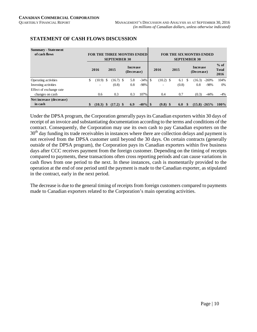| <b>Summary - Statement</b><br>of cash flows |                   |               | <b>SEPTEMBER 30</b> | <b>FOR THE THREE MONTHS ENDED</b> |            |                          |       |    | <b>FOR THE SIX MONTHS ENDED</b><br><b>SEPTEMBER 30</b> |                |                                |
|---------------------------------------------|-------------------|---------------|---------------------|-----------------------------------|------------|--------------------------|-------|----|--------------------------------------------------------|----------------|--------------------------------|
|                                             | 2016              |               | 2015                | <b>Increase</b><br>(Decrease)     |            | 2016                     | 2015  |    | <b>Increase</b><br>(Decrease)                          |                | $%$ of<br><b>Total</b><br>2016 |
| Operating activities                        | \$<br>(10.9)      | <sup>\$</sup> | $(16.7)$ \$         | 5.8                               | $-34%$     | $(10.2)$ \$              | 6.1   | S. | (16.3)                                                 | $-269%$        | 104%                           |
| Investing activities                        | ٠                 |               | (0.8)               | 0.8                               | $-98%$     | $\overline{\phantom{a}}$ | (0.8) |    | 0.8                                                    | $-98%$         | 0%                             |
| Effect of exchange rate                     |                   |               |                     |                                   |            |                          |       |    |                                                        |                |                                |
| changes on cash                             | 0.6               |               | 0.3                 | 0.3                               | 107%       | 0.4                      | 0.7   |    | (0.3)                                                  | $-44%$         | $-4%$                          |
| Net increase (decrease)                     |                   |               |                     |                                   |            |                          |       |    |                                                        |                |                                |
| in cash                                     | \$<br>$(10.3)$ \$ |               | $(17.2)$ \$         | 6.9                               | $-40\%$ \$ | $(9.8)$ \$               | 6.0   |    |                                                        | $(15.8) -265%$ | $100\%$                        |

# **STATEMENT OF CASH FLOWS DISCUSSION**

Under the DPSA program, the Corporation generally pays its Canadian exporters within 30 days of receipt of an invoice and substantiating documentation according to the terms and conditions of the contract. Consequently, the Corporation may use its own cash to pay Canadian exporters on the 30<sup>th</sup> day funding its trade receivables in instances where there are collection delays and payment is not received from the DPSA customer until beyond the 30 days. On certain contracts (generally outside of the DPSA program), the Corporation pays its Canadian exporters within five business days after CCC receives payment from the foreign customer. Depending on the timing of receipts compared to payments, these transactions often cross reporting periods and can cause variations in cash flows from one period to the next. In these instances, cash is momentarily provided to the operation at the end of one period until the payment is made to the Canadian exporter, as stipulated in the contract, early in the next period.

The decrease is due to the general timing of receipts from foreign customers compared to payments made to Canadian exporters related to the Corporation's main operating activities.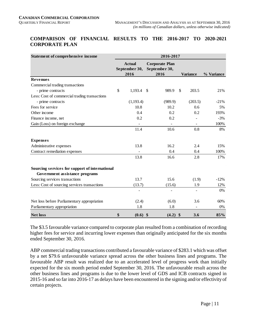### **COMPARISON OF FINANCIAL RESULTS TO THE 2016-2017 TO 2020-2021 CORPORATE PLAN**

| Statement of comprehensive income              |                                        | 2016-2017                                      |              |                 |            |
|------------------------------------------------|----------------------------------------|------------------------------------------------|--------------|-----------------|------------|
|                                                | <b>Actual</b><br>September 30,<br>2016 | <b>Corporate Plan</b><br>September 30,<br>2016 |              | <b>Variance</b> | % Variance |
| <b>Revenues</b>                                |                                        |                                                |              |                 |            |
| Commercial trading transactions                |                                        |                                                |              |                 |            |
| - prime contracts                              | \$<br>$1,193.4$ \$                     | 989.9                                          | $\mathbb{S}$ | 203.5           | 21%        |
| Less: Cost of commercial trading transactions  |                                        |                                                |              |                 |            |
| - prime contracts                              | (1,193.4)                              | (989.9)                                        |              | (203.5)         | $-21%$     |
| Fees for service                               | 10.8                                   | 10.2                                           |              | 0.6             | 5%         |
| Other income                                   | 0.4                                    | 0.2                                            |              | 0.2             | 193%       |
| Finance income, net                            | 0.2                                    | 0.2                                            |              |                 | $-3%$      |
| Gain (Loss) on foreign exchange                |                                        |                                                |              |                 | 100%       |
|                                                | 11.4                                   | 10.6                                           |              | 0.8             | 8%         |
| <b>Expenses</b>                                |                                        |                                                |              |                 |            |
| Administrative expenses                        | 13.8                                   | 16.2                                           |              | 2.4             | 15%        |
| Contract remediation expenses                  |                                        | 0.4                                            |              | 0.4             | 100%       |
|                                                | 13.8                                   | 16.6                                           |              | 2.8             | 17%        |
| Sourcing services for support of international |                                        |                                                |              |                 |            |
| Government assistance programs                 |                                        |                                                |              |                 |            |
| Sourcing services transactions                 | 13.7                                   | 15.6                                           |              | (1.9)           | $-12%$     |
| Less: Cost of sourcing services transactions   | (13.7)                                 | (15.6)                                         |              | 1.9             | 12%        |
|                                                |                                        |                                                |              |                 | $0\%$      |
| Net loss before Parliamentary appropriation    | (2.4)                                  | (6.0)                                          |              | 3.6             | 60%        |
| Parliamentary appropriation                    | 1.8                                    | 1.8                                            |              |                 | 0%         |
| <b>Net loss</b>                                | \$<br>$(0.6)$ \$                       | $(4.2)$ \$                                     |              | 3.6             | 85%        |

The \$3.5 favourable variance compared to corporate plan resulted from a combination of recording higher fees for service and incurring lower expenses than originally anticipated for the six months ended September 30, 2016.

ABP commercial trading transactions contributed a favourable variance of \$283.1 which was offset by a net \$79.6 unfavourable variance spread across the other business lines and programs. The favourable ABP result was realized due to an accelerated level of progress work than initially expected for the six month period ended September 30, 2016. The unfavourable result across the other business lines and programs is due to the lower level of GDS and ICB contracts signed in 2015-16 and so far into 2016-17 as delays have been encountered in the signing and/or effectivity of certain projects.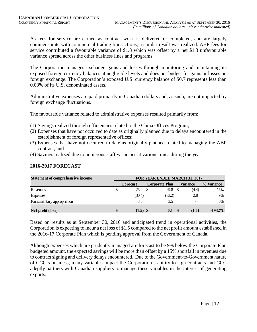As fees for service are earned as contract work is delivered or completed, and are largely commensurate with commercial trading transactions, a similar result was realized. ABP fees for service contributed a favourable variance of \$1.8 which was offset by a net \$1.3 unfavourable variance spread across the other business lines and programs.

The Corporation manages exchange gains and losses through monitoring and maintaining its exposed foreign currency balances at negligible levels and does not budget for gains or losses on foreign exchange. The Corporation's exposed U.S. currency balance of \$0.7 represents less than 0.03% of its U.S. denominated assets.

Administrative expenses are paid primarily in Canadian dollars and, as such, are not impacted by foreign exchange fluctuations.

The favourable variance related to administrative expenses resulted primarily from:

- (1) Savings realized through efficiencies related to the China Offices Program;
- (2) Expenses that have not occurred to date as originally planned due to delays encountered in the establishment of foreign representative offices;
- (3) Expenses that have not occurred to date as originally planned related to managing the ABP contract; and
- (4) Savings realized due to numerous staff vacancies at various times during the year.

| Statement of comprehensive income | FOR YEAR ENDED MARCH 31, 2017 |  |                       |  |                          |            |  |  |  |  |
|-----------------------------------|-------------------------------|--|-----------------------|--|--------------------------|------------|--|--|--|--|
|                                   | Forecast                      |  | <b>Corporate Plan</b> |  | Variance                 | % Variance |  |  |  |  |
| Revenues                          | 25.4                          |  | 29.8                  |  | (4.4)                    | $-15%$     |  |  |  |  |
| Expenses                          | (30.4)                        |  | (33.2)                |  | 2.8                      | 9%         |  |  |  |  |
| Parliamentary appropriation       | 3.5                           |  | 3.5                   |  | $\overline{\phantom{0}}$ | 0%         |  |  |  |  |
| Net profit (loss)                 | $(1.5)$ \$                    |  | 0.1                   |  | (1.6)                    | $-1932\%$  |  |  |  |  |

# **2016-2017 FORECAST**

Based on results as at September 30, 2016 and anticipated trend in operational activities, the Corporation is expecting to incur a net loss of \$1.5 compared to the net profit amount established in the 2016-17 Corporate Plan which is pending approval from the Government of Canada.

Although expenses which are prudently managed are forecast to be 9% below the Corporate Plan budgeted amount, the expected savings will be more than offset by a 15% shortfall in revenues due to contract signing and delivery delays encountered. Due to the Government-to-Government nature of CCC's business, many variables impact the Corporation's ability to sign contracts and CCC adeptly partners with Canadian suppliers to manage these variables in the interest of generating exports.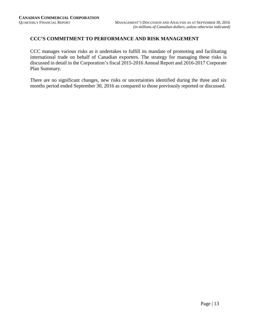## **CCC'S COMMITMENT TO PERFORMANCE AND RISK MANAGEMENT**

CCC manages various risks as it undertakes to fulfill its mandate of promoting and facilitating international trade on behalf of Canadian exporters. The strategy for managing these risks is discussed in detail in the Corporation's fiscal 2015-2016 Annual Report and 2016-2017 Corporate Plan Summary.

There are no significant changes, new risks or uncertainties identified during the three and six months period ended September 30, 2016 as compared to those previously reported or discussed.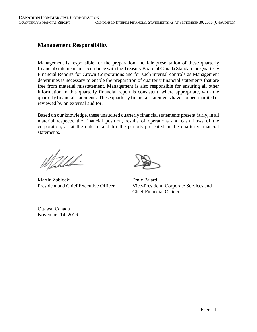# **Management Responsibility**

Management is responsible for the preparation and fair presentation of these quarterly financial statements in accordance with the Treasury Board of Canada Standard on Quarterly Financial Reports for Crown Corporations and for such internal controls as Management determines is necessary to enable the preparation of quarterly financial statements that are free from material misstatement. Management is also responsible for ensuring all other information in this quarterly financial report is consistent, where appropriate, with the quarterly financial statements. These quarterly financial statements have not been audited or reviewed by an external auditor.

Based on our knowledge, these unaudited quarterly financial statements present fairly, in all material respects, the financial position, results of operations and cash flows of the corporation, as at the date of and for the periods presented in the quarterly financial statements.

Mahhal-

Martin Zablocki Ernie Briard

President and Chief Executive Officer Vice-President, Corporate Services and Chief Financial Officer

Ottawa, Canada November 14, 2016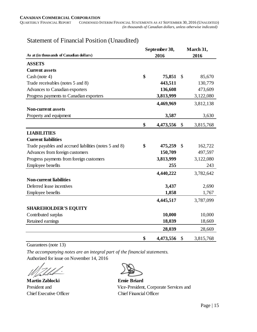|                                                        | September 30,   | March 31,     |           |  |  |
|--------------------------------------------------------|-----------------|---------------|-----------|--|--|
| As at (in thousands of Canadian dollars)               | 2016            | 2016          |           |  |  |
| <b>ASSETS</b>                                          |                 |               |           |  |  |
| <b>Current assets</b>                                  |                 |               |           |  |  |
| Cash (note 4)                                          | \$<br>75,851    | $\mathcal{S}$ | 85,670    |  |  |
| Trade receivables (notes 5 and 8)                      | 443,511         |               | 130,779   |  |  |
| Advances to Canadian exporters                         | 136,608         |               | 473,609   |  |  |
| Progress payments to Canadian exporters                | 3,813,999       |               | 3,122,080 |  |  |
|                                                        | 4,469,969       |               | 3,812,138 |  |  |
| <b>Non-current assets</b>                              |                 |               |           |  |  |
| Property and equipment                                 | 3,587           |               | 3,630     |  |  |
|                                                        | \$<br>4,473,556 | \$            | 3,815,768 |  |  |
| <b>LIABILITIES</b>                                     |                 |               |           |  |  |
| <b>Current liabilities</b>                             |                 |               |           |  |  |
| Trade payables and accrued liabilities (notes 5 and 8) | \$<br>475,259   | $\mathcal{S}$ | 162,722   |  |  |
| Advances from foreign customers                        | 150,709         |               | 497,597   |  |  |
| Progress payments from foreign customers               | 3,813,999       |               | 3,122,080 |  |  |
| <b>Employee benefits</b>                               | 255             |               | 243       |  |  |
|                                                        | 4,440,222       |               | 3,782,642 |  |  |
| <b>Non-current liabilities</b>                         |                 |               |           |  |  |
| Deferred lease incentives                              | 3,437           |               | 2,690     |  |  |
| Employee benefits                                      | 1,858           |               | 1,767     |  |  |
|                                                        | 4,445,517       |               | 3,787,099 |  |  |
| <b>SHAREHOLDER'S EQUITY</b>                            |                 |               |           |  |  |
| Contributed surplus                                    | 10,000          |               | 10,000    |  |  |
| Retained earnings                                      | 18,039          |               | 18,669    |  |  |
|                                                        | 28,039          |               | 28,669    |  |  |
|                                                        | \$<br>4,473,556 | \$            | 3,815,768 |  |  |

# Statement of Financial Position (Unaudited)

Guarantees (note 13)

*The accompanying notes are an integral part of the financial statements.* Authorized for issue on November 14, 2016

**Martin Zablocki Ernie Briard** 



President and Vice-President, Corporate Services and Chief Executive Officer Chief Financial Officer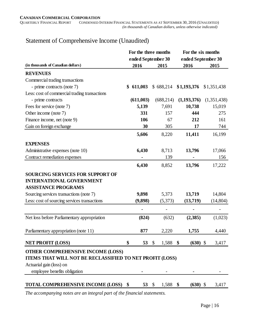# Statement of Comprehensive Income (Unaudited)

|                                                          | For the three months       |                    | For the six months         |             |
|----------------------------------------------------------|----------------------------|--------------------|----------------------------|-------------|
| (in thousands of Canadian dollars)                       | ended September 30<br>2016 | 2015               | ended September 30<br>2016 | 2015        |
| <b>REVENUES</b>                                          |                            |                    |                            |             |
| Commercial trading transactions                          |                            |                    |                            |             |
| - prime contracts (note 7)                               | \$<br>611,003              | \$688,214          | \$1,193,376                | \$1,351,438 |
| Less: cost of commercial trading transactions            |                            |                    |                            |             |
| - prime contracts                                        | (611,003)                  | (688, 214)         | (1, 193, 376)              | (1,351,438) |
| Fees for service (note 7)                                | 5,139                      | 7,691              | 10,738                     | 15,019      |
| Other income (note 7)                                    | 331                        | 157                | 444                        | 275         |
| Finance income, net (note 9)                             | 106                        | 67                 | 212                        | 161         |
| Gain on foreign exchange                                 | 30                         | 305                | 17                         | 744         |
|                                                          | 5,606                      | 8,220              | 11,411                     | 16,199      |
| <b>EXPENSES</b>                                          |                            |                    |                            |             |
| Administrative expenses (note 10)                        | 6,430                      | 8,713              | 13,796                     | 17,066      |
| Contract remediation expenses                            |                            | 139                |                            | 156         |
|                                                          | 6,430                      | 8,852              | 13,796                     | 17,222      |
| <b>SOURCING SERVICES FOR SUPPORT OF</b>                  |                            |                    |                            |             |
| <b>INTERNATIONAL GOVERNMENT</b>                          |                            |                    |                            |             |
| <b>ASSISTANCE PROGRAMS</b>                               |                            |                    |                            |             |
| Sourcing services transactions (note 7)                  | 9,898                      | 5,373              | 13,719                     | 14,804      |
| Less: cost of sourcing services transactions             | (9,898)                    | (5,373)            | (13,719)                   | (14, 804)   |
|                                                          |                            |                    |                            |             |
| Net loss before Parliamentary appropriation              | (824)                      | (632)              | (2,385)                    | (1,023)     |
| Parliamentary appropriation (note 11)                    | 877                        | 2,220              | 1,755                      | 4,440       |
| <b>NET PROFIT (LOSS)</b>                                 | \$<br>53 $\sqrt{3}$        | $1,588$ \$         | $(630)$ \$                 | 3,417       |
| <b>OTHER COMPREHENSIVE INCOME (LOSS)</b>                 |                            |                    |                            |             |
| ITEMS THAT WILL NOT BE RECLASSIFIED TO NET PROFIT (LOSS) |                            |                    |                            |             |
| Actuarial gain (loss) on                                 |                            |                    |                            |             |
| employee benefits obligation                             |                            |                    |                            |             |
| TOTAL COMPREHENSIVE INCOME (LOSS) \$                     | 53                         | - \$<br>$1,588$ \$ | $(630)$ \$                 | 3,417       |

*The accompanying notes are an integral part of the financial statements.*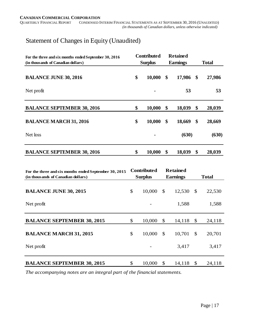# Statement of Changes in Equity (Unaudited)

| For the three and six months ended September 30, 2016<br>(in thousands of Canadian dollars) | <b>Contributed</b><br><b>Surplus</b> |        |    | <b>Retained</b><br><b>Earnings</b> | <b>Total</b> |        |  |
|---------------------------------------------------------------------------------------------|--------------------------------------|--------|----|------------------------------------|--------------|--------|--|
| <b>BALANCE JUNE 30, 2016</b>                                                                | \$                                   | 10,000 | \$ | 17,986                             | \$           | 27,986 |  |
| Net profit                                                                                  |                                      |        |    | 53                                 |              | 53     |  |
| <b>BALANCE SEPTEMBER 30, 2016</b>                                                           | \$                                   | 10,000 | \$ | 18,039                             | \$           | 28,039 |  |
| <b>BALANCE MARCH 31, 2016</b>                                                               | \$                                   | 10,000 | \$ | 18,669                             | \$           | 28,669 |  |
| Net loss                                                                                    |                                      |        |    | (630)                              |              | (630)  |  |
| <b>BALANCE SEPTEMBER 30, 2016</b>                                                           | \$                                   | 10,000 | \$ | 18,039                             | \$           | 28,039 |  |

| For the three and six months ended September 30, 2015 |               | <b>Contributed</b> |              | <b>Retained</b> |               |              |
|-------------------------------------------------------|---------------|--------------------|--------------|-----------------|---------------|--------------|
| (in thousands of Canadian dollars)                    |               | <b>Surplus</b>     |              | <b>Earnings</b> |               | <b>Total</b> |
|                                                       |               |                    |              |                 |               |              |
| <b>BALANCE JUNE 30, 2015</b>                          | \$            | 10,000             | $\mathbb{S}$ | 12,530          | $\mathbb{S}$  | 22,530       |
| Net profit                                            |               |                    |              | 1,588           |               | 1,588        |
| <b>BALANCE SEPTEMBER 30, 2015</b>                     | \$            | 10,000             | \$           | 14,118          | \$            | 24,118       |
| <b>BALANCE MARCH 31, 2015</b>                         | $\mathcal{S}$ | 10,000             | $\mathbb{S}$ | 10,701          | $\mathcal{S}$ | 20,701       |
| Net profit                                            |               |                    |              | 3,417           |               | 3,417        |
| <b>BALANCE SEPTEMBER 30, 2015</b>                     | \$            | 10,000             | \$           | 14,118          | \$            | 24,118       |

*The accompanying notes are an integral part of the financial statements.*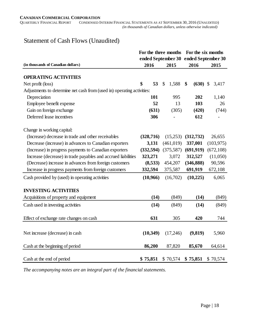# Statement of Cash Flows (Unaudited)

|                                                                        | For the three months |                        | For the six months |            |  |  |
|------------------------------------------------------------------------|----------------------|------------------------|--------------------|------------|--|--|
|                                                                        |                      | ended September 30     | ended September 30 |            |  |  |
| (in thousands of Canadian dollars)                                     | 2016                 | 2015                   | 2016               | 2015       |  |  |
| <b>OPERATING ACTIVITIES</b>                                            |                      |                        |                    |            |  |  |
| Net profit (loss)                                                      | \$<br>53             | 1,588<br>$\mathcal{S}$ | \$<br>$(630)$ \$   | 3,417      |  |  |
| Adjustments to determine net cash from (used in) operating activities: |                      |                        |                    |            |  |  |
| Depreciation                                                           | 101                  | 995                    | 202                | 1,140      |  |  |
| Employee benefit expense                                               | 52                   | 13                     | 103                | 26         |  |  |
| Gain on foreign exchange                                               | (631)                | (305)                  | (420)              | (744)      |  |  |
| Deferred lease incentives                                              | 306                  |                        | 612                |            |  |  |
| Change in working capital:                                             |                      |                        |                    |            |  |  |
| (Increase) decrease in trade and other receivables                     | (328, 716)           | (15,253)               | (312, 732)         | 26,655     |  |  |
| Decrease (increase) in advances to Canadian exporters                  | 3,131                | (461, 019)             | 337,001            | (103, 975) |  |  |
| (Increase) in progress payments to Canadian exporters                  | (332, 594)           | (375, 587)             | (691, 919)         | (672, 108) |  |  |
| Increase (decrease) in trade payables and accrued liabilities          | 323,271              | 3,072                  | 312,527            | (11,050)   |  |  |
| (Decrease) increase in advances from foreign customers                 | (8,533)              | 454,207                | (346, 888)         | 90,596     |  |  |
| Increase in progress payments from foreign customers                   | 332,594              | 375,587                | 691,919            | 672,108    |  |  |
| Cash provided by (used) in operating activities                        | (10,966)             | (16,702)               | (10,225)           | 6,065      |  |  |
| <b>INVESTING ACTIVITIES</b>                                            |                      |                        |                    |            |  |  |
| Acquisitions of property and equipment                                 | (14)                 | (849)                  | (14)               | (849)      |  |  |
| Cash used in investing activities                                      | (14)                 | (849)                  | (14)               | (849)      |  |  |
| Effect of exchange rate changes on cash                                | 631                  | 305                    | 420                | 744        |  |  |
|                                                                        |                      |                        |                    |            |  |  |
| Net increase (decrease) in cash                                        | (10, 349)            | (17,246)               | (9, 819)           | 5,960      |  |  |
| Cash at the beginning of period                                        | 86,200               | 87,820                 | 85,670             | 64,614     |  |  |
|                                                                        |                      |                        |                    |            |  |  |
| Cash at the end of period                                              | \$75,851             | \$70,574               | \$75,851           | \$70,574   |  |  |

*The accompanying notes are an integral part of the financial statements.*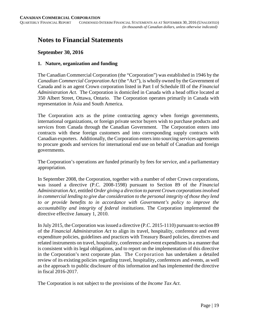# **Notes to Financial Statements**

#### **September 30, 2016**

#### **1. Nature, organization and funding**

The Canadian Commercial Corporation (the "Corporation") was established in 1946 by the *Canadian Commercial Corporation Act* (the "Act"), is wholly owned by the Government of Canada and is an agent Crown corporation listed in Part I of Schedule III of the *Financial Administration Act*. The Corporation is domiciled in Canada with a head office located at 350 Albert Street, Ottawa, Ontario. The Corporation operates primarily in Canada with representation in Asia and South America.

The Corporation acts as the prime contracting agency when foreign governments, international organizations, or foreign private sector buyers wish to purchase products and services from Canada through the Canadian Government. The Corporation enters into contracts with these foreign customers and into corresponding supply contracts with Canadian exporters. Additionally, the Corporation enters into sourcing services agreements to procure goods and services for international end use on behalf of Canadian and foreign governments.

The Corporation's operations are funded primarily by fees for service, and a parliamentary appropriation.

In September 2008, the Corporation, together with a number of other Crown corporations, was issued a directive (P.C. 2008-1598) pursuant to Section 89 of the *Financial Administration Act*, entitled *Order giving a direction to parent Crown corporations involved in commercial lending to give due consideration to the personal integrity of those they lend to or provide benefits to in accordance with Government's policy to improve the accountability and integrity of federal institutions*. The Corporation implemented the directive effective January 1, 2010.

In July 2015, the Corporation was issued a directive (P.C. 2015-1110) pursuant to section 89 of the *Financial Administration Act* to align its travel, hospitality, conference and event expenditure policies, guidelines and practices with Treasury Board policies, directives and related instruments on travel, hospitality, conference and event expenditures in a manner that is consistent with its legal obligations, and to report on the implementation of this directive in the Corporation's next corporate plan. The Corporation has undertaken a detailed review of its existing policies regarding travel, hospitality, conferences and events, as well as the approach to public disclosure of this information and has implemented the directive in fiscal 2016-2017.

The Corporation is not subject to the provisions of the *Income Tax Act*.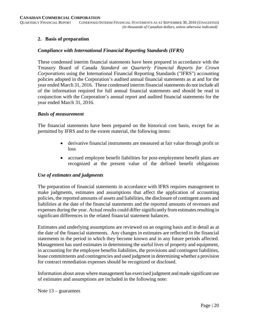#### **2. Basis of preparation**

#### *Compliance with International Financial Reporting Standards (IFRS)*

These condensed interim financial statements have been prepared in accordance with the Treasury Board of Canada *Standard on Quarterly Financial Reports for Crown Corporations* using the International Financial Reporting Standards ("IFRS") accounting policies adopted in the Corporation's audited annual financial statements as at and for the year ended March 31, 2016. These condensed interim financial statements do not include all of the information required for full annual financial statements and should be read in conjunction with the Corporation's annual report and audited financial statements for the year ended March 31, 2016.

#### *Basis of measurement*

The financial statements have been prepared on the historical cost basis, except for as permitted by IFRS and to the extent material, the following items:

- derivative financial instruments are measured at fair value through profit or loss
- accrued employee benefit liabilities for post-employment benefit plans are recognized at the present value of the defined benefit obligations

#### *Use of estimates and judgments*

The preparation of financial statements in accordance with IFRS requires management to make judgments, estimates and assumptions that affect the application of accounting policies, the reported amounts of assets and liabilities, the disclosure of contingent assets and liabilities at the date of the financial statements and the reported amounts of revenues and expenses during the year. Actual results could differ significantly from estimates resulting in significant differences in the related financial statement balances.

Estimates and underlying assumptions are reviewed on an ongoing basis and in detail as at the date of the financial statements. Any changes in estimates are reflected in the financial statements in the period in which they become known and in any future periods affected. Management has used estimates in determining the useful lives of property and equipment, in accounting for the employee benefits liabilities, the provisions and contingent liabilities, lease commitments and contingencies and used judgment in determining whether a provision for contract remediation expenses should be recognized or disclosed.

Information about areas where management has exercised judgment and made significant use of estimates and assumptions are included in the following note:

Note 13 – guarantees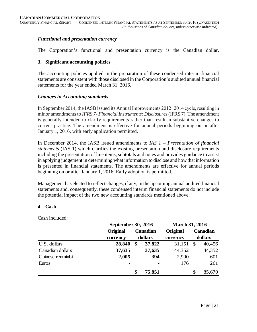#### *Functional and presentation currency*

The Corporation's functional and presentation currency is the Canadian dollar.

#### **3. Significant accounting policies**

The accounting policies applied in the preparation of these condensed interim financial statements are consistent with those disclosed in the Corporation's audited annual financial statements for the year ended March 31, 2016.

#### *Changes in Accounting standards*

In September 2014, the IASB issued its Annual Improvements 2012−2014 cycle, resulting in minor amendments to *IFRS 7- Financial Instruments: Disclosures*(IFRS 7). The amendment is generally intended to clarify requirements rather than result in substantive changes to current practice. The amendment is effective for annual periods beginning on or after January 1, 2016, with early application permitted.

In December 2014, the IASB issued amendments to *IAS 1 – Presentation of financial statements* (IAS 1) which clarifies the existing presentation and disclosure requirements including the presentation of line items, subtotals and notes and provides guidance to assist in applying judgement in determining what information to disclose and how that information is presented in financial statements. The amendments are effective for annual periods beginning on or after January 1, 2016. Early adoption is permitted.

Management has elected to reflect changes, if any, in the upcoming annual audited financial statements and, consequently, these condensed interim financial statements do not include the potential impact of the two new accounting standards mentioned above.

#### **4. Cash**

Cash included:

|                  | September 30, 2016 |              | <b>March 31, 2016</b> |    |          |  |
|------------------|--------------------|--------------|-----------------------|----|----------|--|
|                  | Original           | Canadian     | Original              |    | Canadian |  |
|                  | currency           | dollars      | currency              |    | dollars  |  |
| U.S. dollars     | 28,840             | \$<br>37,822 | 31,151                | S  | 40,456   |  |
| Canadian dollars | 37,635             | 37,635       | 44,352                |    | 44,352   |  |
| Chinese renminbi | 2,005              | 394          | 2,990                 |    | 601      |  |
| Euros            |                    |              | 176                   |    | 261      |  |
|                  |                    | \$<br>75,851 |                       | \$ | 85,670   |  |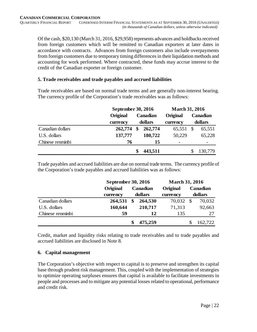Of the cash, \$20,130 (March 31, 2016, \$29,958) represents advances and holdbacks received from foreign customers which will be remitted to Canadian exporters at later dates in accordance with contracts. Advances from foreign customers also include overpayments from foreign customers due to temporary timing differences in their liquidation methods and accounting for work performed. Where contracted, these funds may accrue interest to the credit of the Canadian exporter or foreign customer.

#### **5. Trade receivables and trade payables and accrued liabilities**

Trade receivables are based on normal trade terms and are generally non-interest bearing. The currency profile of the Corporation's trade receivables was as follows:

|                  | September 30, 2016 |               | <b>March 31, 2016</b> |         |          |  |  |
|------------------|--------------------|---------------|-----------------------|---------|----------|--|--|
|                  | Original           | Canadian      | Original              |         | Canadian |  |  |
|                  | currency           | dollars       | currency              | dollars |          |  |  |
| Canadian dollars | 262,774            | \$<br>262,774 | 65,551                | S       | 65,551   |  |  |
| U.S. dollars     | 137,777            | 180,722       | 50,229                |         | 65,228   |  |  |
| Chinese renminbi | 76                 | 15            |                       |         |          |  |  |
|                  |                    | 443,511       |                       |         | 130,779  |  |  |

Trade payables and accrued liabilities are due on normal trade terms. The currency profile of the Corporation's trade payables and accrued liabilities was as follows:

|                  |          | September 30, 2016 |          |          |          | <b>March 31, 2016</b> |  |
|------------------|----------|--------------------|----------|----------|----------|-----------------------|--|
|                  | Original |                    | Canadian | Original | Canadian |                       |  |
|                  | currency | dollars            |          | currency |          | dollars               |  |
| Canadian dollars | 264,531  | \$                 | 264,530  | 70,032   | -S       | 70,032                |  |
| U.S. dollars     | 160,644  |                    | 210,717  | 71,313   |          | 92,663                |  |
| Chinese renminbi | 59       |                    | 12       | 135      |          | 27                    |  |
|                  |          |                    | 475,259  |          |          | 162,722               |  |

Credit, market and liquidity risks relating to trade receivables and to trade payables and accrued liabilities are disclosed in Note 8.

#### **6. Capital management**

The Corporation's objective with respect to capital is to preserve and strengthen its capital base through prudent risk management. This, coupled with the implementation of strategies to optimize operating surpluses ensures that capital is available to facilitate investments in people and processes and to mitigate any potential losses related to operational, performance and credit risk.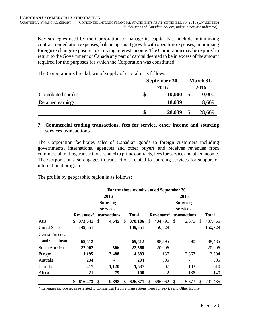Key strategies used by the Corporation to manage its capital base include: minimizing contract remediation expenses; balancing smart growth with operating expenses; minimizing foreign exchange exposure; optimizing interest income. The Corporation may be required to return to the Government of Canada any part of capital deemed to be in excess of the amount required for the purposes for which the Corporation was constituted.

**September 30, 2016 March 31, 2016** Contributed surplus **\$ 10,000** \$ 10,000 Retained earnings **18,039** 18,669 **\$ 28,039** \$ 28,669

The Corporation's breakdown of supply of capital is as follows:

#### **7. Commercial trading transactions, fees for service, other income and sourcing services transactions**

The Corporation facilitates sales of Canadian goods to foreign customers including governments, international agencies and other buyers and receives revenues from commercial trading transactions related to prime contracts, fees for service and other income. The Corporation also engages in transactions related to sourcing services for support of international programs.

The profile by geographic region is as follows:

|                      | For the three months ended September 30 |    |                 |    |              |          |           |    |                              |               |         |  |
|----------------------|-----------------------------------------|----|-----------------|----|--------------|----------|-----------|----|------------------------------|---------------|---------|--|
|                      |                                         |    | 2016            |    |              |          |           |    | 2015                         |               |         |  |
|                      |                                         |    | <b>Sourcing</b> |    |              |          |           |    | <b>Sourcing</b>              |               |         |  |
|                      |                                         |    | services        |    |              | services |           |    |                              |               |         |  |
|                      | Revenues*                               |    | transactions    |    | <b>Total</b> |          | Revenues* |    | <b>Total</b>                 |               |         |  |
| Asia                 | \$<br>373,541                           | \$ | 4,645           | S  | 378,186      | \$       | 434,791   | \$ | 2,675                        | <sup>\$</sup> | 437,466 |  |
| <b>United States</b> | 149,551                                 |    |                 |    | 149,551      |          | 150,729   |    |                              |               | 150,729 |  |
| Central America      |                                         |    |                 |    |              |          |           |    |                              |               |         |  |
| and Caribbean        | 69,512                                  |    |                 |    | 69,512       |          | 88,395    |    | 90                           |               | 88,485  |  |
| South America        | 22,002                                  |    | 566             |    | 22,568       |          | 20,996    |    |                              |               | 20,996  |  |
| Europe               | 1,195                                   |    | 3,488           |    | 4,683        |          | 137       |    | 2,367                        |               | 2,504   |  |
| Australia            | 234                                     |    | ۰               |    | 234          |          | 505       |    | $\qquad \qquad \blacksquare$ |               | 505     |  |
| Canada               | 417                                     |    | 1,120           |    | 1,537        |          | 507       |    | 103                          |               | 610     |  |
| Africa               | 21                                      |    | 79              |    | <b>100</b>   |          | 2         |    | 138                          |               | 140     |  |
|                      | \$<br>616,473                           | \$ | 9,898           | \$ | 626,371      | \$       | 696,062   | \$ | 5,373                        | S             | 701,435 |  |

\* Revenues include revenue related to Commercial Trading Transactions, Fees for Service and Other Income.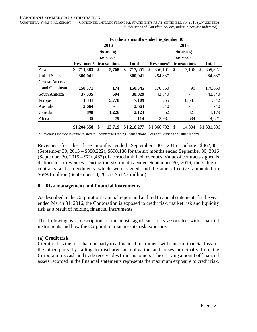#### **CANADIAN COMMERCIAL CORPORATION**

QUARTERLY FINANCIAL REPORT CONDENSED INTERIM FINANCIAL STATEMENTS AS AT SEPTEMBER 30, 2016 (UNAUDITED)  *(in thousands of Canadian dollars, unless otherwise indicated)*

|                      | For the six months ended September 30 |             |    |                 |     |              |    |             |              |                 |     |              |
|----------------------|---------------------------------------|-------------|----|-----------------|-----|--------------|----|-------------|--------------|-----------------|-----|--------------|
|                      |                                       |             |    | 2016            |     |              |    |             |              | 2015            |     |              |
|                      |                                       |             |    | <b>Sourcing</b> |     |              |    |             |              | <b>Sourcing</b> |     |              |
|                      |                                       |             |    | services        |     |              |    |             |              | services        |     |              |
|                      |                                       | Revenues*   |    | transactions    |     | <b>Total</b> |    | Revenues*   | transactions |                 |     | <b>Total</b> |
| Asia                 | \$                                    | 711,883     | \$ | 5,768           | \$. | 717,651      | \$ | 856,161     | \$           | 3,166           | \$. | 859,327      |
| <b>United States</b> |                                       | 300,041     |    |                 |     | 300,041      |    | 284,837     |              |                 |     | 284,837      |
| Central America      |                                       |             |    |                 |     |              |    |             |              |                 |     |              |
| and Caribbean        |                                       | 150,371     |    | 174             |     | 150,545      |    | 176,560     |              | 90              |     | 176,650      |
| South America        |                                       | 37,335      |    | 694             |     | 38,029       |    | 42,840      |              |                 |     | 42,840       |
| Europe               |                                       | 1,331       |    | 5,778           |     | 7,109        |    | 755         |              | 10,587          |     | 11,342       |
| Australia            |                                       | 2,664       |    |                 |     | 2,664        |    | 740         |              | -               |     | 740          |
| Canada               |                                       | 898         |    | 1,226           |     | 2,124        |    | 852         |              | 327             |     | 1,179        |
| Africa               |                                       | 35          |    | 79              |     | 114          |    | 3,987       |              | 634             |     | 4,621        |
|                      |                                       | \$1,204,558 | \$ | 13,719          |     | \$1,218,277  |    | \$1,366,732 | \$           | 14,804          |     | \$1,381,536  |

\* Revenues include revenue related to Commercial Trading Transactions, Fees for Service and Other Income.

Revenues for the three months ended September 30, 2016 include \$362,801 (September 30, 2015 – \$380,222), \$690,188 for the six months ended September 30, 2016 (September 30, 2015 – \$710,482) of accrued unbilled revenues. Value of contracts signed is distinct from revenues. During the six months ended September 30, 2016, the value of contracts and amendments which were signed and became effective amounted to \$689.1 million (September 30, 2015 - \$512.7 million).

#### **8. Risk management and financial instruments**

As described in the Corporation's annual report and audited financial statements for the year ended March 31, 2016, the Corporation is exposed to credit risk, market risk and liquidity risk as a result of holding financial instruments.

The following is a description of the most significant risks associated with financial instruments and how the Corporation manages its risk exposure:

#### **(a) Credit risk**

Credit risk is the risk that one party to a financial instrument will cause a financial loss for the other party by failing to discharge an obligation and arises principally from the Corporation's cash and trade receivables from customers. The carrying amount of financial assets recorded in the financial statements represents the maximum exposure to credit risk.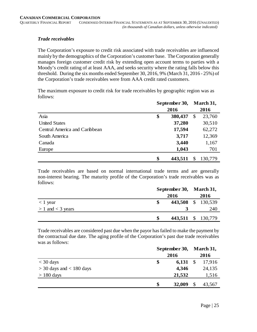#### *Trade receivables*

The Corporation's exposure to credit risk associated with trade receivables are influenced mainly by the demographics of the Corporation's customer base. The Corporation generally manages foreign customer credit risk by extending open account terms to parties with a Moody's credit rating of at least AAA, and seeks security where the rating falls below this threshold. During the six months ended September 30, 2016, 9% (March 31, 2016 - 25%) of the Corporation's trade receivables were from AAA credit rated customers.

The maximum exposure to credit risk for trade receivables by geographic region was as follows:

|                               | September 30, |         |    | March 31, |  |  |
|-------------------------------|---------------|---------|----|-----------|--|--|
|                               |               | 2016    |    | 2016      |  |  |
| Asia                          | \$            | 380,437 | \$ | 23,760    |  |  |
| <b>United States</b>          |               | 37,280  |    | 30,510    |  |  |
| Central America and Caribbean |               | 17,594  |    | 62,272    |  |  |
| South America                 |               | 3,717   |    | 12,369    |  |  |
| Canada                        |               | 3,440   |    | 1,167     |  |  |
| Europe                        |               | 1,043   |    | 701       |  |  |
|                               | \$            | 443,511 | \$ | 130,779   |  |  |

Trade receivables are based on normal international trade terms and are generally non-interest bearing. The maturity profile of the Corporation's trade receivables was as follows:

|                       | September 30, March 31, |                    |  |                    |
|-----------------------|-------------------------|--------------------|--|--------------------|
|                       |                         | 2016               |  | 2016               |
| $<$ 1 year            |                         | 443,508 \$ 130,539 |  |                    |
| $> 1$ and $<$ 3 years |                         |                    |  | 240                |
|                       | -SS                     |                    |  | 443,511 \$ 130,779 |

Trade receivables are considered past due when the payor has failed to make the payment by the contractual due date. The aging profile of the Corporation's past due trade receivables was as follows:

|                              | September 30, |        |               | March 31, |
|------------------------------|---------------|--------|---------------|-----------|
|                              |               | 2016   |               |           |
| $<$ 30 days                  | \$            | 6,131  | $\mathcal{S}$ | 17,916    |
| $>$ 30 days and $<$ 180 days |               | 4,346  |               | 24,135    |
| $> 180$ days                 |               | 21,532 |               | 1,516     |
|                              | \$            | 32,009 |               | 43,567    |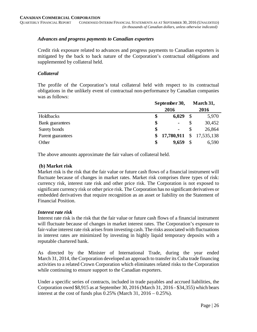#### *Advances and progress payments to Canadian exporters*

Credit risk exposure related to advances and progress payments to Canadian exporters is mitigated by the back to back nature of the Corporation's contractual obligations and supplemented by collateral held.

#### *Collateral*

The profile of the Corporation's total collateral held with respect to its contractual obligations in the unlikely event of contractual non-performance by Canadian companies was as follows:

|                        | September 30, |                |                           | March 31,    |
|------------------------|---------------|----------------|---------------------------|--------------|
|                        | 2016          |                |                           | 2016         |
| Holdbacks              | \$            | 6,029          | $\boldsymbol{\mathsf{S}}$ | 5,970        |
| <b>Bank</b> guarantees | \$            | $\blacksquare$ | \$                        | 30,452       |
| Surety bonds           | \$            | $\blacksquare$ | S                         | 26,864       |
| Parent guarantees      | \$            | 17,780,911     |                           | \$17,535,138 |
| Other                  | \$            | 9,659          | \$                        | 6,590        |

The above amounts approximate the fair values of collateral held.

#### **(b) Market risk**

Market risk is the risk that the fair value or future cash flows of a financial instrument will fluctuate because of changes in market rates. Market risk comprises three types of risk: currency risk, interest rate risk and other price risk. The Corporation is not exposed to significant currency risk or other price risk. The Corporation has no significant derivatives or embedded derivatives that require recognition as an asset or liability on the Statement of Financial Position.

#### *Interest rate risk*

Interest rate risk is the risk that the fair value or future cash flows of a financial instrument will fluctuate because of changes in market interest rates. The Corporation's exposure to fair-value interest rate risk arises from investing cash. The risks associated with fluctuations in interest rates are minimized by investing in highly liquid temporary deposits with a reputable chartered bank.

As directed by the Minister of International Trade, during the year ended March 31, 2014, the Corporation developed an approach to transfer its Cuba trade financing activities to a related Crown Corporation which eliminates related risks to the Corporation while continuing to ensure support to the Canadian exporters.

Under a specific series of contracts, included in trade payables and accrued liabilities, the Corporation owed \$8,915 as at September 30, 2016 (March 31, 2016 - \$34,355) which bears interest at the cost of funds plus  $0.25\%$  (March 31,  $2016 - 0.25\%$ ).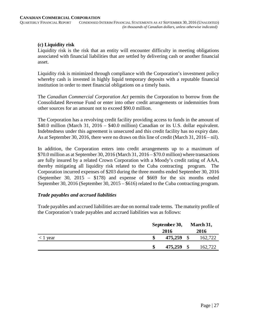#### **(c) Liquidity risk**

Liquidity risk is the risk that an entity will encounter difficulty in meeting obligations associated with financial liabilities that are settled by delivering cash or another financial asset.

Liquidity risk is minimized through compliance with the Corporation's investment policy whereby cash is invested in highly liquid temporary deposits with a reputable financial institution in order to meet financial obligations on a timely basis.

The *Canadian Commercial Corporation Act* permits the Corporation to borrow from the Consolidated Revenue Fund or enter into other credit arrangements or indemnities from other sources for an amount not to exceed \$90.0 million.

The Corporation has a revolving credit facility providing access to funds in the amount of \$40.0 million (March 31, 2016 – \$40.0 million) Canadian or its U.S. dollar equivalent. Indebtedness under this agreement is unsecured and this credit facility has no expiry date. As at September 30, 2016, there were no draws on this line of credit (March 31, 2016 – nil).

In addition, the Corporation enters into credit arrangements up to a maximum of \$70.0 million as at September 30, 2016 (March 31, 2016 – \$70.0 million) where transactions are fully insured by a related Crown Corporation with a Moody's credit rating of AAA, thereby mitigating all liquidity risk related to the Cuba contracting program. The Corporation incurred expenses of \$203 during the three months ended September 30, 2016 (September 30, 2015 – \$178) and expense of \$669 for the six months ended September 30, 2016 (September 30, 2015 – \$616) related to the Cuba contracting program.

#### *Trade payables and accrued liabilities*

Trade payables and accrued liabilities are due on normal trade terms. The maturity profile of the Corporation's trade payables and accrued liabilities was as follows:

|                  | September 30, | March 31, |         |  |
|------------------|---------------|-----------|---------|--|
|                  | 2016          | 2016      |         |  |
| $\langle$ 1 year | 475,259       |           | 162,722 |  |
|                  | \$<br>475,259 |           | 162,722 |  |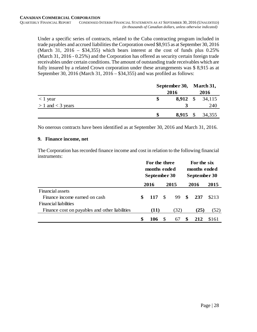Under a specific series of contracts, related to the Cuba contracting program included in trade payables and accrued liabilities the Corporation owed \$8,915 as at September 30, 2016 (March 31, 2016 – \$34,355) which bears interest at the cost of funds plus  $0.25\%$ (March 31, 2016 - 0.25%) and the Corporation has offered as security certain foreign trade receivables under certain conditions. The amount of outstanding trade receivables which are fully insured by a related Crown corporation under these arrangements was \$8,915 as at September 30, 2016 (March 31, 2016 – \$34,355) and was profiled as follows:

|                       | September 30, March 31, |            |  |                 |
|-----------------------|-------------------------|------------|--|-----------------|
|                       |                         | 2016       |  | 2016            |
| $< 1$ year            |                         |            |  | 8,912 \$ 34,115 |
| $> 1$ and $<$ 3 years |                         |            |  | 240             |
|                       |                         | $8,915$ \$ |  | 34,355          |

No onerous contracts have been identified as at September 30, 2016 and March 31, 2016.

#### **9. Finance income, net**

The Corporation has recorded finance income and cost in relation to the following financial instruments:

|                                                | For the three<br>months ended<br>September 30 |      |               |                  |   | For the six<br>months ended<br>September 30 |       |
|------------------------------------------------|-----------------------------------------------|------|---------------|------------------|---|---------------------------------------------|-------|
|                                                |                                               | 2016 |               | 2015             |   | 2016                                        | 2015  |
| <b>Financial assets</b>                        |                                               |      |               |                  |   |                                             |       |
| Finance income earned on cash                  | \$                                            | 117  | $\mathcal{S}$ | $99 \text{ }$ \$ |   | 237                                         | \$213 |
| <b>Financial liabilities</b>                   |                                               |      |               |                  |   |                                             |       |
| Finance cost on payables and other liabilities |                                               | (11) |               | (32)             |   | (25)                                        | (52)  |
|                                                | \$                                            | 106  | -S            | 67               | S | 212                                         | \$161 |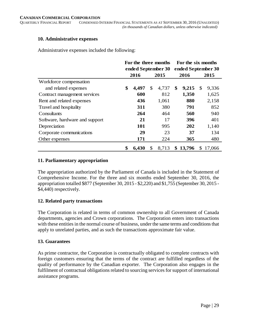#### **10. Administrative expenses**

Administrative expenses included the following:

|                                | For the three months |                      |     |       | For the six months |        |     |        |      |     |  |     |  |       |
|--------------------------------|----------------------|----------------------|-----|-------|--------------------|--------|-----|--------|------|-----|--|-----|--|-------|
|                                | ended September 30   |                      |     |       | ended September 30 |        |     |        |      |     |  |     |  |       |
|                                |                      | 2016<br>2016<br>2015 |     |       |                    |        |     |        | 2015 |     |  |     |  |       |
| Workforce compensation         |                      |                      |     |       |                    |        |     |        |      |     |  |     |  |       |
| and related expenses           | \$                   | 4,497                | \$  | 4,737 | \$                 | 9,215  | \$  | 9,336  |      |     |  |     |  |       |
| Contract management services   |                      | 600                  |     | 812   |                    | 1,350  |     | 1,625  |      |     |  |     |  |       |
| Rent and related expenses      |                      | 436                  |     | 1,061 |                    |        |     |        |      |     |  | 880 |  | 2,158 |
| Travel and hospitality         |                      | 311                  |     | 380   |                    |        |     | 791    |      | 852 |  |     |  |       |
| Consultants                    |                      | 264                  |     | 464   |                    |        |     | 560    |      | 940 |  |     |  |       |
| Software, hardware and support |                      | 21                   |     | 17    |                    |        |     | 396    |      | 401 |  |     |  |       |
| Depreciation                   |                      | 101                  | 995 |       |                    | 202    |     | 1,140  |      |     |  |     |  |       |
| Corporate communications       |                      | 29                   | 23  |       |                    | 37     |     | 134    |      |     |  |     |  |       |
| Other expenses                 |                      | 171                  | 224 |       | 365                |        | 480 |        |      |     |  |     |  |       |
|                                | \$                   | 6,430                | \$  | 8,713 | \$                 | 13,796 | \$  | 17,066 |      |     |  |     |  |       |

#### **11. Parliamentary appropriation**

The appropriation authorized by the Parliament of Canada is included in the Statement of Comprehensive Income. For the three and six months ended September 30, 2016, the appropriation totalled \$877 (September 30, 2015 - \$2,220) and \$1,755 (September 30, 2015 - \$4,440) respectively.

#### **12. Related party transactions**

The Corporation is related in terms of common ownership to all Government of Canada departments, agencies and Crown corporations. The Corporation enters into transactions with these entities in the normal course of business, under the same terms and conditions that apply to unrelated parties, and as such the transactions approximate fair value.

#### **13. Guarantees**

As prime contractor, the Corporation is contractually obligated to complete contracts with foreign customers ensuring that the terms of the contract are fulfilled regardless of the quality of performance by the Canadian exporter. The Corporation also engages in the fulfilment of contractual obligations related to sourcing services for support of international assistance programs.